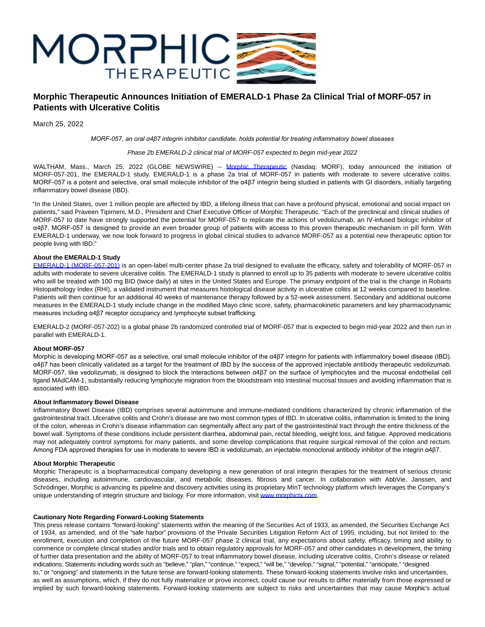

# **Morphic Therapeutic Announces Initiation of EMERALD-1 Phase 2a Clinical Trial of MORF-057 in Patients with Ulcerative Colitis**

March 25, 2022

*MORF-057, an oral α4β7 integrin inhibitor candidate, holds potential for treating inflammatory bowel diseases*

# Phase 2b EMERALD-2 clinical trial of MORF-057 expected to begin mid-year 2022

WALTHAM, Mass., March 25, 2022 (GLOBE NEWSWIRE) -- [Morphic Therapeutic](https://www.globenewswire.com/Tracker?data=nvD4UeF3phM4P1c5jr7N0qVo0gdIUNFZBCAQdgArJ4yxbYrVNz8nVT7P7Cz-XIkv3rjXslpYyM-yJimsGZOWYQ==) (Nasdaq: MORF), today announced the initiation of MORF-057-201, the EMERALD-1 study. EMERALD-1 is a phase 2a trial of MORF-057 in patients with moderate to severe ulcerative colitis. MORF-057 is a potent and selective, oral small molecule inhibitor of the α4β7 integrin being studied in patients with GI disorders, initially targeting inflammatory bowel disease (IBD).

"In the United States, over 1 million people are affected by IBD, a lifelong illness that can have a profound physical, emotional and social impact on patients," said Praveen Tipirneni, M.D., President and Chief Executive Officer of Morphic Therapeutic. "Each of the preclinical and clinical studies of MORF-057 to date have strongly supported the potential for MORF-057 to replicate the actions of vedolizumab, an IV-infused biologic inhibitor of α4β7. MORF-057 is designed to provide an even broader group of patients with access to this proven therapeutic mechanism in pill form. With EMERALD-1 underway, we now look forward to progress in global clinical studies to advance MORF-057 as a potential new therapeutic option for people living with IBD."

# **About the EMERALD-1 Study**

[EMERALD-1 \(MORF-057-201\)](https://www.globenewswire.com/Tracker?data=4hu33R-c2FNyB0QEn2skQ6vKoDIYJsUIUHrK92hHB_LHb_3G7J7_hpTjp6-Zz6VA4JE_WDdkmEsCbYiW47zydgb2XekJVoOYvfBOMEMbzVqd7qHHcY6WSyP6cBNuUmPzoEePQBkrbFj2rMF0LTMiToRoCTKPXwp09d8AAKrC_SU=) is an open-label multi-center phase 2a trial designed to evaluate the efficacy, safety and tolerability of MORF-057 in adults with moderate to severe ulcerative colitis. The EMERALD-1 study is planned to enroll up to 35 patients with moderate to severe ulcerative colitis who will be treated with 100 mg BID (twice daily) at sites in the United States and Europe. The primary endpoint of the trial is the change in Robarts Histopathology Index (RHI), a validated instrument that measures histological disease activity in ulcerative colitis at 12 weeks compared to baseline. Patients will then continue for an additional 40 weeks of maintenance therapy followed by a 52-week assessment. Secondary and additional outcome measures in the EMERALD-1 study include change in the modified Mayo clinic score, safety, pharmacokinetic parameters and key pharmacodynamic measures including α4β7 receptor occupancy and lymphocyte subset trafficking.

EMERALD-2 (MORF-057-202) is a global phase 2b randomized controlled trial of MORF-057 that is expected to begin mid-year 2022 and then run in parallel with EMERALD-1.

#### **About MORF-057**

Morphic is developing MORF-057 as a selective, oral small molecule inhibitor of the α4β7 integrin for patients with inflammatory bowel disease (IBD). α4β7 has been clinically validated as a target for the treatment of IBD by the success of the approved injectable antibody therapeutic vedolizumab. MORF-057, like vedolizumab, is designed to block the interactions between α4β7 on the surface of lymphocytes and the mucosal endothelial cell ligand MAdCAM-1, substantially reducing lymphocyte migration from the bloodstream into intestinal mucosal tissues and avoiding inflammation that is associated with IBD.

#### **About Inflammatory Bowel Disease**

Inflammatory Bowel Disease (IBD) comprises several autoimmune and immune-mediated conditions characterized by chronic inflammation of the gastrointestinal tract. Ulcerative colitis and Crohn's disease are two most common types of IBD. In ulcerative colitis, inflammation is limited to the lining of the colon, whereas in Crohn's disease inflammation can segmentally affect any part of the gastrointestinal tract through the entire thickness of the bowel wall. Symptoms of these conditions include persistent diarrhea, abdominal pain, rectal bleeding, weight loss, and fatigue. Approved medications may not adequately control symptoms for many patients, and some develop complications that require surgical removal of the colon and rectum. Among FDA approved therapies for use in moderate to severe IBD is vedolizumab, an injectable monoclonal antibody inhibitor of the integrin α4β7.

# **About Morphic Therapeutic**

Morphic Therapeutic is a biopharmaceutical company developing a new generation of oral integrin therapies for the treatment of serious chronic diseases, including autoimmune, cardiovascular, and metabolic diseases, fibrosis and cancer. In collaboration with AbbVie, Janssen, and Schrödinger, Morphic is advancing its pipeline and discovery activities using its proprietary MInT technology platform which leverages the Company's unique understanding of integrin structure and biology. For more information, visit [www.morphictx.com.](https://www.globenewswire.com/Tracker?data=3-YOSmohfNfU28jypgRtv92ieCZNi1HwqfNQc6rQNXU_izpYHfDnvgzLdzSxnFWMIwSNB09TtxvWSpDZYb22iA==)

#### **Cautionary Note Regarding Forward-Looking Statements**

This press release contains "forward-looking" statements within the meaning of the Securities Act of 1933, as amended, the Securities Exchange Act of 1934, as amended, and of the "safe harbor" provisions of the Private Securities Litigation Reform Act of 1995, including, but not limited to: the enrollment, execution and completion of the future MORF-057 phase 2 clinical trial, any expectations about safety, efficacy, timing and ability to commence or complete clinical studies and/or trials and to obtain regulatory approvals for MORF-057 and other candidates in development, the timing of further data presentation and the ability of MORF-057 to treat inflammatory bowel disease, including ulcerative colitis, Crohn's disease or related indications. Statements including words such as "believe," "plan," "continue," "expect," "will be," "develop," "signal," "potential," "anticipate," "designed to," or "ongoing" and statements in the future tense are forward-looking statements. These forward-looking statements involve risks and uncertainties, as well as assumptions, which, if they do not fully materialize or prove incorrect, could cause our results to differ materially from those expressed or implied by such forward-looking statements. Forward-looking statements are subject to risks and uncertainties that may cause Morphic's actual